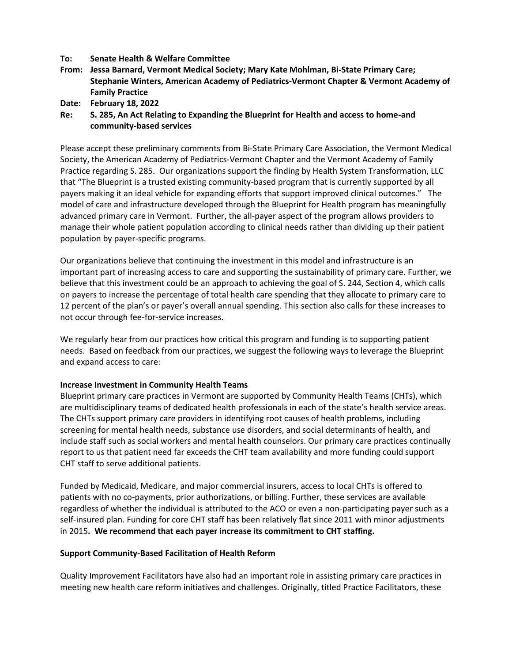## **To: Senate Health & Welfare Committee**

- **From: Jessa Barnard, Vermont Medical Society; Mary Kate Mohlman, Bi-State Primary Care; Stephanie Winters, American Academy of Pediatrics-Vermont Chapter & Vermont Academy of Family Practice**
- **Date: February 18, 2022**
- **Re: S. 285, An Act Relating to Expanding the Blueprint for Health and access to home-and community-based services**

Please accept these preliminary comments from Bi-State Primary Care Association, the Vermont Medical Society, the American Academy of Pediatrics-Vermont Chapter and the Vermont Academy of Family Practice regarding S. 285. Our organizations support the finding by Health System Transformation, LLC that "The Blueprint is a trusted existing community-based program that is currently supported by all payers making it an ideal vehicle for expanding efforts that support improved clinical outcomes." The model of care and infrastructure developed through the Blueprint for Health program has meaningfully advanced primary care in Vermont. Further, the all-payer aspect of the program allows providers to manage their whole patient population according to clinical needs rather than dividing up their patient population by payer-specific programs.

Our organizations believe that continuing the investment in this model and infrastructure is an important part of increasing access to care and supporting the sustainability of primary care. Further, we believe that this investment could be an approach to achieving the goal of S. 244, Section 4, which calls on payers to increase the percentage of total health care spending that they allocate to primary care to 12 percent of the plan's or payer's overall annual spending. This section also calls for these increases to not occur through fee-for-service increases.

We regularly hear from our practices how critical this program and funding is to supporting patient needs. Based on feedback from our practices, we suggest the following ways to leverage the Blueprint and expand access to care:

## **Increase Investment in Community Health Teams**

Blueprint primary care practices in Vermont are supported by Community Health Teams (CHTs), which are multidisciplinary teams of dedicated health professionals in each of the state's health service areas. The CHTs support primary care providers in identifying root causes of health problems, including screening for mental health needs, substance use disorders, and social determinants of health, and include staff such as social workers and mental health counselors. Our primary care practices continually report to us that patient need far exceeds the CHT team availability and more funding could support CHT staff to serve additional patients.

Funded by Medicaid, Medicare, and major commercial insurers, access to local CHTs is offered to patients with no co-payments, prior authorizations, or billing. Further, these services are available regardless of whether the individual is attributed to the ACO or even a non-participating payer such as a self-insured plan. Funding for core CHT staff has been relatively flat since 2011 with minor adjustments in 2015**. We recommend that each payer increase its commitment to CHT staffing.** 

## **Support Community-Based Facilitation of Health Reform**

Quality Improvement Facilitators have also had an important role in assisting primary care practices in meeting new health care reform initiatives and challenges. Originally, titled Practice Facilitators, these